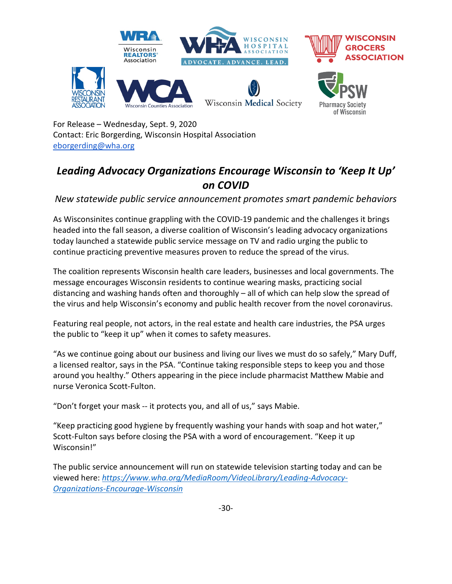

For Release – Wednesday, Sept. 9, 2020 Contact: Eric Borgerding, Wisconsin Hospital Association [eborgerding@wha.org](mailto:eborgerding@wha.org) 

## *Leading Advocacy Organizations Encourage Wisconsin to 'Keep It Up' on COVID*

*New statewide public service announcement promotes smart pandemic behaviors*

As Wisconsinites continue grappling with the COVID-19 pandemic and the challenges it brings headed into the fall season, a diverse coalition of Wisconsin's leading advocacy organizations today launched a statewide public service message on TV and radio urging the public to continue practicing preventive measures proven to reduce the spread of the virus.

The coalition represents Wisconsin health care leaders, businesses and local governments. The message encourages Wisconsin residents to continue wearing masks, practicing social distancing and washing hands often and thoroughly – all of which can help slow the spread of the virus and help Wisconsin's economy and public health recover from the novel coronavirus.

Featuring real people, not actors, in the real estate and health care industries, the PSA urges the public to "keep it up" when it comes to safety measures.

"As we continue going about our business and living our lives we must do so safely," Mary Duff, a licensed realtor, says in the PSA. "Continue taking responsible steps to keep you and those around you healthy." Others appearing in the piece include pharmacist Matthew Mabie and nurse Veronica Scott-Fulton.

"Don't forget your mask -- it protects you, and all of us," says Mabie.

"Keep practicing good hygiene by frequently washing your hands with soap and hot water," Scott-Fulton says before closing the PSA with a word of encouragement. "Keep it up Wisconsin!"

The public service announcement will run on statewide television starting today and can be viewed here: *[https://www.wha.org/MediaRoom/VideoLibrary/Leading-Advocacy-](https://www.wha.org/MediaRoom/VideoLibrary/Leading-Advocacy-Organizations-Encourage-Wisconsin)[Organizations-Encourage-Wisconsin](https://www.wha.org/MediaRoom/VideoLibrary/Leading-Advocacy-Organizations-Encourage-Wisconsin)*